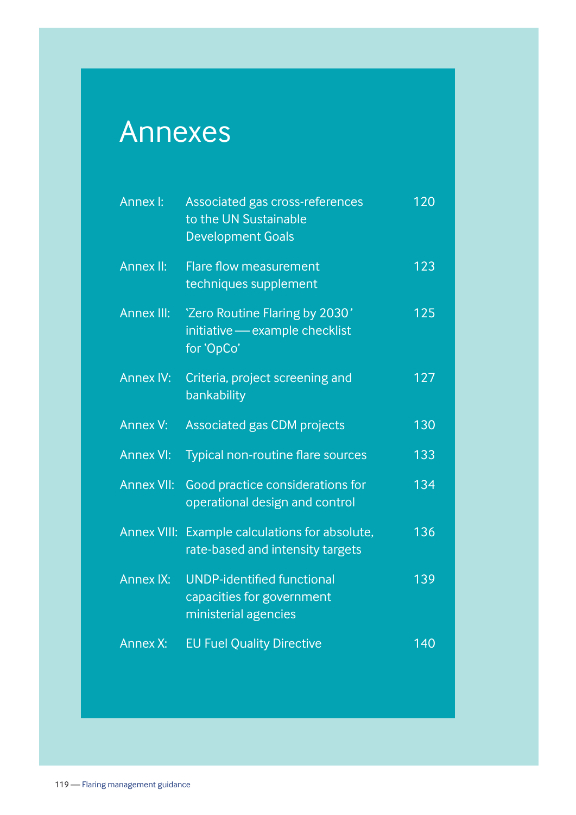## Annexes

| Annex I:           | Associated gas cross-references<br>to the UN Sustainable<br><b>Development Goals</b>   | 120 |
|--------------------|----------------------------------------------------------------------------------------|-----|
| Annex II:          | <b>Flare flow measurement</b><br>techniques supplement                                 | 123 |
| <b>Annex III:</b>  | 'Zero Routine Flaring by 2030'<br>initiative - example checklist<br>for 'OpCo'         | 125 |
| <b>Annex IV:</b>   | Criteria, project screening and<br>bankability                                         | 127 |
| Annex V:           | <b>Associated gas CDM projects</b>                                                     | 130 |
| <b>Annex VI:</b>   | Typical non-routine flare sources                                                      | 133 |
| <b>Annex VII:</b>  | Good practice considerations for<br>operational design and control                     | 134 |
| <b>Annex VIII:</b> | Example calculations for absolute,<br>rate-based and intensity targets                 | 136 |
| <b>Annex IX:</b>   | <b>UNDP-identified functional</b><br>capacities for government<br>ministerial agencies | 139 |
| Annex X:           | <b>EU Fuel Quality Directive</b>                                                       | 140 |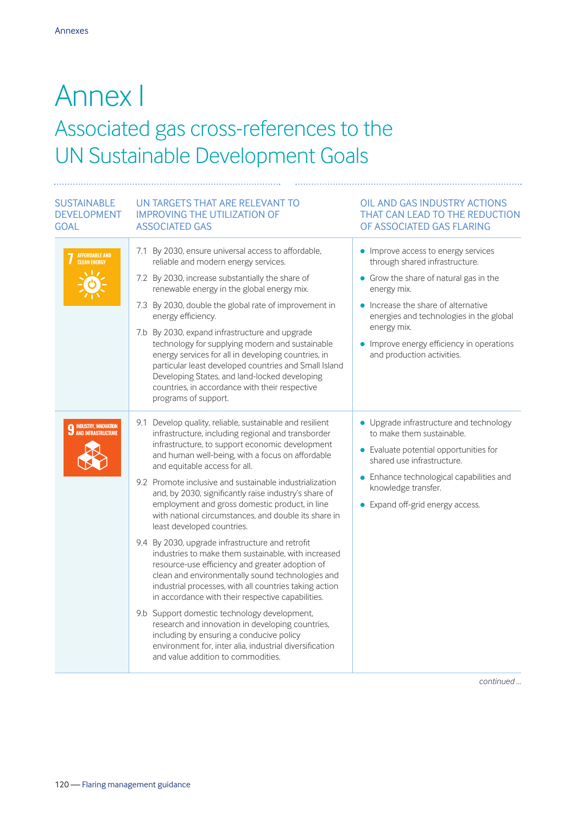### Annex I Associated gas cross-references to the UN Sustainable Development Goals

### SUSTAINABLE GOAL

#### DEVELOPMENT IMPROVING THE UTILIZATION OF UN TARGETS THAT ARE RELEVANT TO ASSOCIATED GAS

| AFFORDABLE AND<br>CLEAN ENERGY                               | 7.1 By 2030, ensure universal access to affordable,<br>reliable and modern energy services.<br>7.2 By 2030, increase substantially the share of<br>renewable energy in the global energy mix.<br>7.3 By 2030, double the global rate of improvement in<br>energy efficiency.<br>7.b By 2030, expand infrastructure and upgrade<br>technology for supplying modern and sustainable<br>energy services for all in developing countries, in<br>particular least developed countries and Small Island<br>Developing States, and land-locked developing<br>countries, in accordance with their respective                                                                                                                                                                                                                                                                                                                                                                                                                                                                                                                         | • Improve access to energy services<br>through shared infrastructure.<br>• Grow the share of natural gas in the<br>energy mix.<br>• Increase the share of alternative<br>energies and technologies in the global<br>energy mix.<br>• Improve energy efficiency in operations<br>and production activities. |
|--------------------------------------------------------------|------------------------------------------------------------------------------------------------------------------------------------------------------------------------------------------------------------------------------------------------------------------------------------------------------------------------------------------------------------------------------------------------------------------------------------------------------------------------------------------------------------------------------------------------------------------------------------------------------------------------------------------------------------------------------------------------------------------------------------------------------------------------------------------------------------------------------------------------------------------------------------------------------------------------------------------------------------------------------------------------------------------------------------------------------------------------------------------------------------------------------|------------------------------------------------------------------------------------------------------------------------------------------------------------------------------------------------------------------------------------------------------------------------------------------------------------|
| <b>9 INDUSTRY, INNOVATION</b><br><b>9</b> AND INFRASTRUCTURE | programs of support.<br>9.1 Develop quality, reliable, sustainable and resilient<br>infrastructure, including regional and transborder<br>infrastructure, to support economic development<br>and human well-being, with a focus on affordable<br>and equitable access for all.<br>9.2 Promote inclusive and sustainable industrialization<br>and, by 2030, significantly raise industry's share of<br>employment and gross domestic product, in line<br>with national circumstances, and double its share in<br>least developed countries.<br>9.4 By 2030, upgrade infrastructure and retrofit<br>industries to make them sustainable, with increased<br>resource-use efficiency and greater adoption of<br>clean and environmentally sound technologies and<br>industrial processes, with all countries taking action<br>in accordance with their respective capabilities.<br>9.b Support domestic technology development,<br>research and innovation in developing countries,<br>including by ensuring a conducive policy<br>environment for, inter alia, industrial diversification<br>and value addition to commodities. | • Upgrade infrastructure and technology<br>to make them sustainable.<br>• Evaluate potential opportunities for<br>shared use infrastructure.<br>Enhance technological capabilities and<br>knowledge transfer.<br>• Expand off-grid energy access.                                                          |

*continued …*

OIL AND GAS INDUSTRY ACTIONS THAT CAN LEAD TO THE REDUCTION OF ASSOCIATED GAS FLARING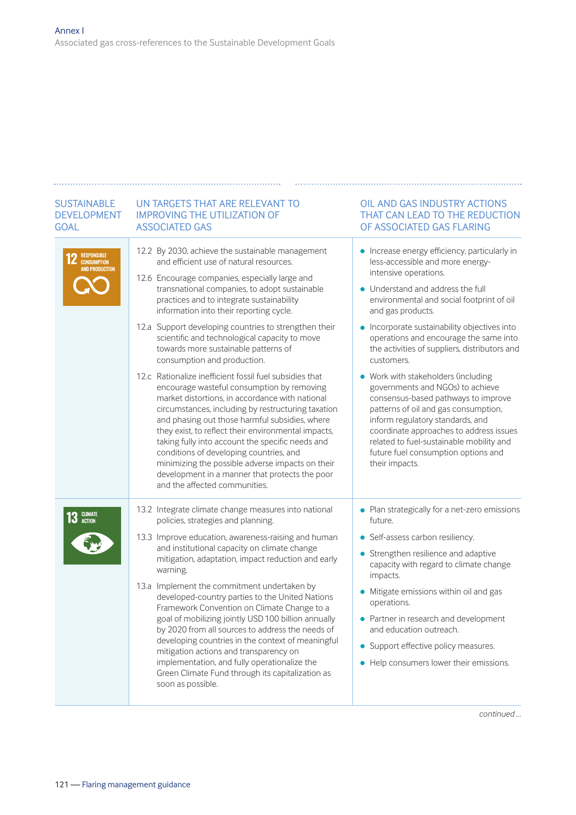# GOAL

#### SUSTAINABLE UN TARGETS THAT ARE RELEVANT TO DEVELOPMENT IMPROVING THE UTILIZATION OF ASSOCIATED GAS

| <b>2</b> RESPONSIBLE<br><b>AND PRODUCTION</b> | 12.2 By 2030, achieve the sustainable management<br>and efficient use of natural resources.<br>12.6 Encourage companies, especially large and<br>transnational companies, to adopt sustainable<br>practices and to integrate sustainability<br>information into their reporting cycle.<br>12.a Support developing countries to strengthen their<br>scientific and technological capacity to move<br>towards more sustainable patterns of<br>consumption and production.                                                                                                                                                                                                                                                                                 | • Increase energy efficiency, particularly in<br>less-accessible and more energy-<br>intensive operations.<br>• Understand and address the full<br>environmental and social footprint of oil<br>and gas products.<br>• Incorporate sustainability objectives into<br>operations and encourage the same into<br>the activities of suppliers, distributors and<br>customers.                                |
|-----------------------------------------------|---------------------------------------------------------------------------------------------------------------------------------------------------------------------------------------------------------------------------------------------------------------------------------------------------------------------------------------------------------------------------------------------------------------------------------------------------------------------------------------------------------------------------------------------------------------------------------------------------------------------------------------------------------------------------------------------------------------------------------------------------------|-----------------------------------------------------------------------------------------------------------------------------------------------------------------------------------------------------------------------------------------------------------------------------------------------------------------------------------------------------------------------------------------------------------|
|                                               | 12.c Rationalize inefficient fossil fuel subsidies that<br>encourage wasteful consumption by removing<br>market distortions, in accordance with national<br>circumstances, including by restructuring taxation<br>and phasing out those harmful subsidies, where<br>they exist, to reflect their environmental impacts,<br>taking fully into account the specific needs and<br>conditions of developing countries, and<br>minimizing the possible adverse impacts on their<br>development in a manner that protects the poor<br>and the affected communities.                                                                                                                                                                                           | • Work with stakeholders (including<br>governments and NGOs) to achieve<br>consensus-based pathways to improve<br>patterns of oil and gas consumption,<br>inform regulatory standards, and<br>coordinate approaches to address issues<br>related to fuel-sustainable mobility and<br>future fuel consumption options and<br>their impacts.                                                                |
| <b>3</b> CLIMATE                              | 13.2 Integrate climate change measures into national<br>policies, strategies and planning.<br>13.3 Improve education, awareness-raising and human<br>and institutional capacity on climate change<br>mitigation, adaptation, impact reduction and early<br>warning.<br>13.a Implement the commitment undertaken by<br>developed-country parties to the United Nations<br>Framework Convention on Climate Change to a<br>goal of mobilizing jointly USD 100 billion annually<br>by 2020 from all sources to address the needs of<br>developing countries in the context of meaningful<br>mitigation actions and transparency on<br>implementation, and fully operationalize the<br>Green Climate Fund through its capitalization as<br>soon as possible. | • Plan strategically for a net-zero emissions<br>future.<br>• Self-assess carbon resiliency.<br>• Strengthen resilience and adaptive<br>capacity with regard to climate change<br>impacts.<br>Mitigate emissions within oil and gas<br>operations.<br>• Partner in research and development<br>and education outreach.<br>• Support effective policy measures.<br>• Help consumers lower their emissions. |

OIL AND GAS INDUSTRY ACTIONS THAT CAN LEAD TO THE REDUCTION OF ASSOCIATED GAS FLARING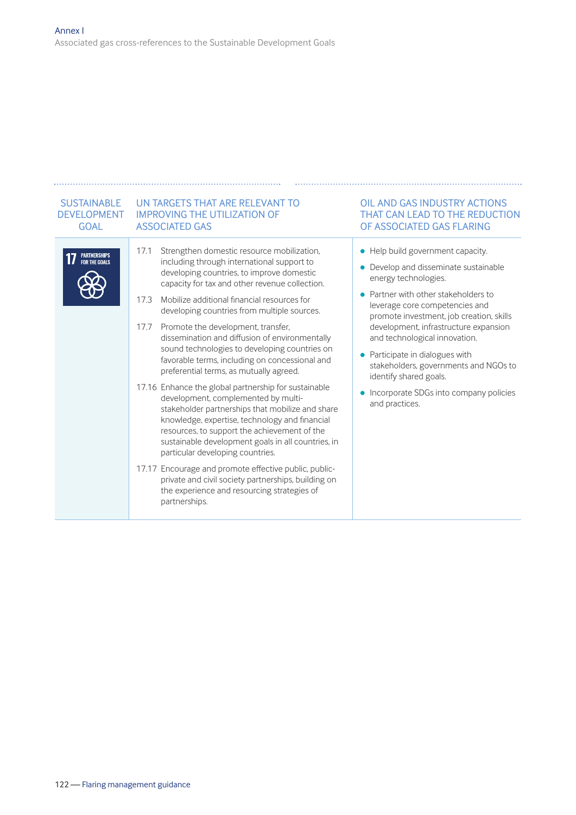#### SUSTAINABLE UN TARGETS THAT ARE RELEVANT TO DEVELOPMENT IMPROVING THE UTILIZATION OF GOAL ASSOCIATED GAS 17.1 Strengthen domestic resource mobilization, PARTNERSHIPS<br>For the Goals including through international support to developing countries, to improve domestic capacity for tax and other revenue collection. 17.3 Mobilize additional financial resources for developing countries from multiple sources. 17.7 Promote the development, transfer, dissemination and diffusion of environmentally sound technologies to developing countries on favorable terms, including on concessional and preferential terms, as mutually agreed. 17.16 Enhance the global partnership for sustainable development, complemented by multistakeholder partnerships that mobilize and share knowledge, expertise, technology and financial resources, to support the achievement of the sustainable development goals in all countries, in particular developing countries. 17.17 Encourage and promote effective public, publicprivate and civil society partnerships, building on the experience and resourcing strategies of partnerships.

#### OIL AND GAS INDUSTRY ACTIONS THAT CAN LEAD TO THE REDUCTION OF ASSOCIATED GAS FLARING

- Help build government capacity.
- Develop and disseminate sustainable energy technologies.
- **•** Partner with other stakeholders to leverage core competencies and promote investment, job creation, skills development, infrastructure expansion and technological innovation.
- $\bullet$  Participate in dialogues with stakeholders, governments and NGOs to identify shared goals.
- $\bullet$  Incorporate SDGs into company policies and practices.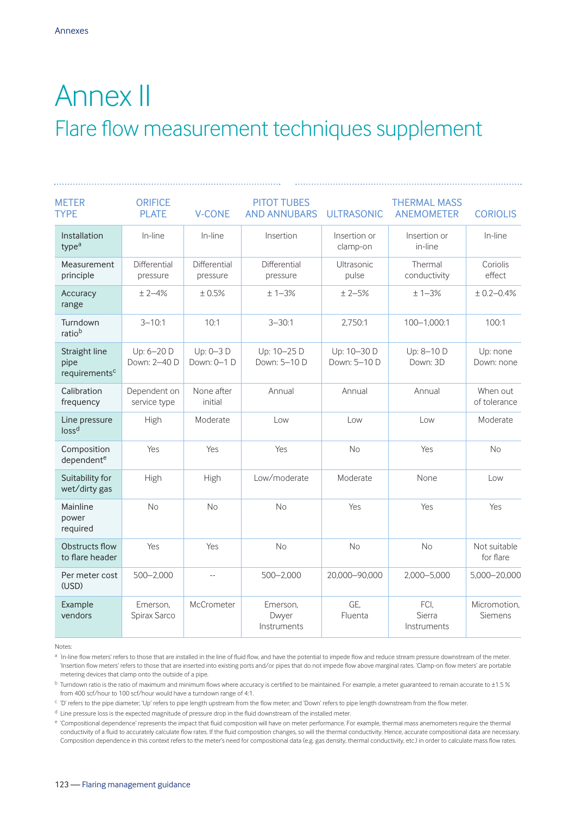### Annex II Flare flow measurement techniques supplement

| <b>METER</b><br><b>TYPE</b>                        | <b>ORIFICE</b><br><b>PLATE</b> | <b>V-CONE</b>            | <b>PITOT TUBES</b><br><b>AND ANNUBARS</b> | <b>ULTRASONIC</b>           | <b>THERMAL MASS</b><br><b>ANEMOMETER</b> | <b>CORIOLIS</b>                |
|----------------------------------------------------|--------------------------------|--------------------------|-------------------------------------------|-----------------------------|------------------------------------------|--------------------------------|
| Installation<br>type <sup>a</sup>                  | In-line                        | In-line                  | Insertion                                 | Insertion or<br>clamp-on    | Insertion or<br>in-line                  | In-line                        |
| Measurement<br>principle                           | Differential<br>pressure       | Differential<br>pressure | Differential<br>pressure                  | Ultrasonic<br>pulse         | Thermal<br>conductivity                  | Coriolis<br>effect             |
| Accuracy<br>range                                  | $± 2-4%$                       | ±0.5%                    | $± 1-3%$                                  | $± 2-5%$                    | $± 1-3%$                                 | $± 0.2 - 0.4%$                 |
| Turndown<br>ratiob                                 | $3 - 10:1$                     | 10:1                     | $3 - 30:1$                                | 2,750:1                     | 100-1,000:1                              | 100:1                          |
| Straight line<br>pipe<br>requirements <sup>c</sup> | Up: 6-20 D<br>Down: 2-40 D     | Up: 0-3 D<br>Down: 0-1 D | Up: 10-25 D<br>Down: 5-10 D               | Up: 10-30 D<br>Down: 5-10 D | Up: 8-10 D<br>Down: 3D                   | Up: none<br>Down: none         |
| Calibration<br>frequency                           | Dependent on<br>service type   | None after<br>initial    | Annual                                    | Annual                      | Annual                                   | When out<br>of tolerance       |
| Line pressure<br>loss <sup>d</sup>                 | High                           | Moderate                 | Low                                       | Low                         | Low                                      | Moderate                       |
| Composition<br>dependent <sup>e</sup>              | Yes                            | Yes                      | Yes                                       | <b>No</b>                   | Yes                                      | <b>No</b>                      |
| Suitability for<br>wet/dirty gas                   | High                           | High                     | Low/moderate                              | Moderate                    | None                                     | Low                            |
| Mainline<br>power<br>required                      | No                             | <b>No</b>                | No                                        | Yes                         | Yes                                      | Yes                            |
| Obstructs flow<br>to flare header                  | Yes                            | Yes                      | No                                        | No                          | No                                       | Not suitable<br>for flare      |
| Per meter cost<br>(USD)                            | $500 - 2,000$                  | $\overline{a}$           | $500 - 2,000$                             | 20,000-90,000               | 2,000-5,000                              | 5,000-20,000                   |
| Example<br>vendors                                 | Emerson.<br>Spirax Sarco       | McCrometer               | Emerson.<br>Dwyer<br>Instruments          | GE.<br>Fluenta              | FCI.<br>Sierra<br>Instruments            | Micromotion,<br><b>Siemens</b> |

Notes:

a 'In-line flow meters' refers to those that are installed in the line of fluid flow, and have the potential to impede flow and reduce stream pressure downstream of the meter. 'Insertion flow meters' refers to those that are inserted into existing ports and/or pipes that do not impede flow above marginal rates. 'Clamp-on flow meters' are portable metering devices that clamp onto the outside of a pipe.

<sup>b</sup> Turndown ratio is the ratio of maximum and minimum flows where accuracy is certified to be maintained. For example, a meter guaranteed to remain accurate to ±1.5 % from 400 scf/hour to 100 scf/hour would have a turndown range of 4:1.

<sup>c</sup> 'D' refers to the pipe diameter; 'Up' refers to pipe length upstream from the flow meter; and 'Down' refers to pipe length downstream from the flow meter.

<sup>d</sup> Line pressure loss is the expected magnitude of pressure drop in the fluid downstream of the installed meter.

e 'Compositional dependence' represents the impact that fluid composition will have on meter performance. For example, thermal mass anemometers require the thermal conductivity of a fluid to accurately calculate flow rates. If the fluid composition changes, so will the thermal conductivity. Hence, accurate compositional data are necessary. Composition dependence in this context refers to the meter's need for compositional data (e.g. gas density, thermal conductivity, etc.) in order to calculate mass flow rates.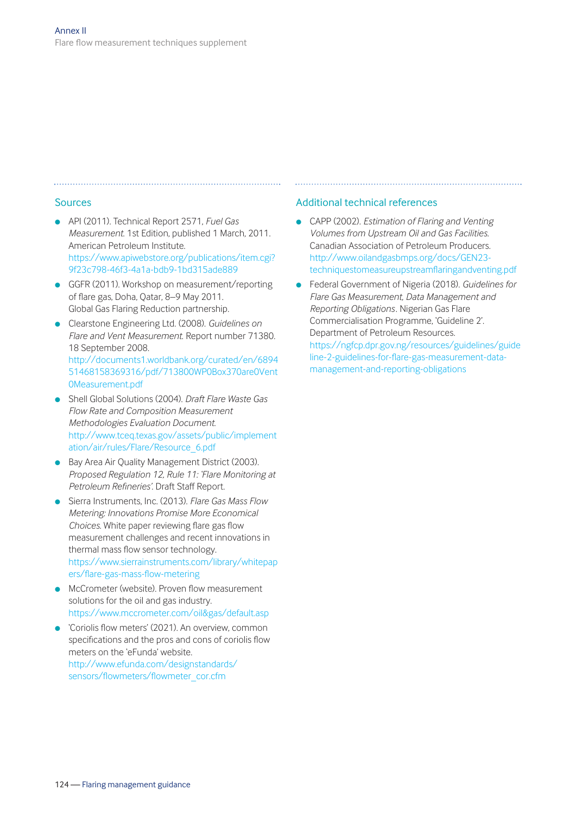#### Sources

- <sup>l</sup> API (2011). Technical Report 2571, *Fuel Gas Measurement*. 1st Edition, published 1 March, 2011. American Petroleum Institute. [https://www.apiwebstore.org/publications/item.cgi?](https://www.apiwebstore.org/publications/item.cgi?9f23c798-46f3-4a1a-bdb9-1bd315ade889) 9f23c798-46f3-4a1a-bdb9-1bd315ade889
- **GGFR (2011). Workshop on measurement/reporting** of flare gas, Doha, Qatar, 8–9 May 2011. Global Gas Flaring Reduction partnership.
- <sup>l</sup> Clearstone Engineering Ltd. (2008). *Guidelines on Flare and Vent Measurement*. Report number 71380. 18 September 2008. [http://documents1.worldbank.org/curated/en/6894](http://documents1.worldbank.org/curated/en/689451468158369316/pdf/713800WP0Box370are0Vent0Measurement.pdf) 51468158369316/pdf/713800WP0Box370are0Vent 0Measurement.pdf
- <sup>l</sup> Shell Global Solutions (2004). *Draft Flare Waste Gas Flow Rate and Composition Measurement Methodologies Evaluation Document*. [http://www.tceq.texas.gov/assets/public/implement](http://www.tceq.texas.gov/assets/public/implementation/air/rules/Flare/Resource_6.pdf) ation/air/rules/Flare/Resource\_6.pdf
- Bay Area Air Ouality Management District (2003). *Proposed Regulation 12, Rule 11: 'Flare Monitoring at Petroleum Refineries'.* Draft Staff Report.
- <sup>l</sup> Sierra Instruments, Inc. (2013). *Flare Gas Mass Flow Metering: Innovations Promise More Economical Choices*. White paper reviewing flare gas flow measurement challenges and recent innovations in thermal mass flow sensor technology. [https://www.sierrainstruments.com/library/whitepap](https://www.sierrainstruments.com/library/whitepapers/flare-gas-mass-flow-metering) ers/flare-gas-mass-flow-metering
- **In McCrometer (website). Proven flow measurement** solutions for the oil and gas industry. https://www.mccrometer.com/oil&gas/default.asp
- **•** 'Coriolis flow meters' (2021). An overview, common specifications and the pros and cons of coriolis flow meters on the 'eFunda' website. [http://www.efunda.com/designstandards/](http://www.efunda.com/designstandards/sensors/flowmeters/flowmeter_cor.cfm)  sensors/flowmeters/flowmeter\_cor.cfm

#### Additional technical references

- **c** CAPP (2002). *Estimation of Flaring and Venting Volumes from Upstream Oil and Gas Facilities.*  Canadian Association of Petroleum Producers. http://www.oilandgasbmps.org/docs/GEN23 techniquestomeasureupstreamflaringandventing.pdf
- <sup>l</sup> Federal Government of Nigeria (2018). *Guidelines for Flare Gas Measurement, Data Management and Reporting Obligations*. Nigerian Gas Flare Commercialisation Programme, 'Guideline 2'. Department of Petroleum Resources. [https://ngfcp.dpr.gov.ng/resources/guidelines/guide](https://ngfcp.dpr.gov.ng/resources/guidelines/guideline-2-guidelines-for-flare-gas-measurement-data-management-and-reporting-obligations) line-2-guidelines-for-flare-gas-measurement-datamanagement-and-reporting-obligations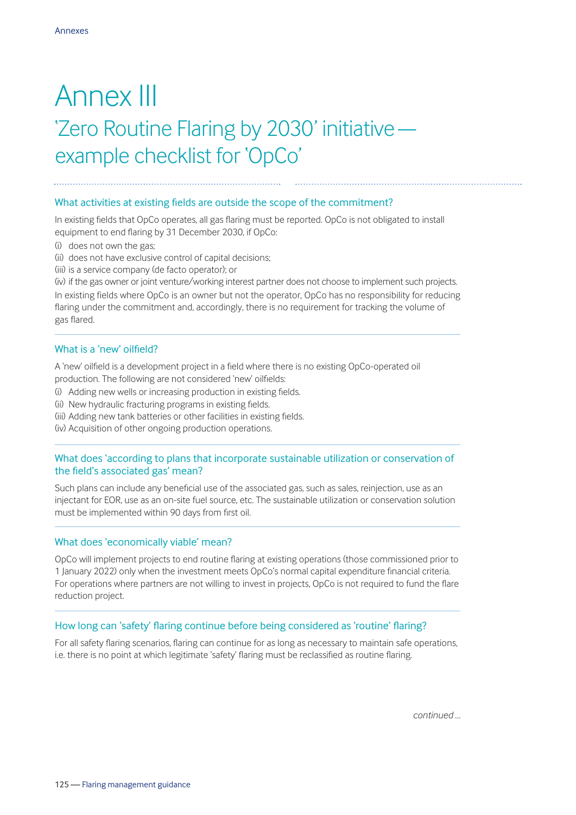### Annex III 'Zero Routine Flaring by 2030' initiative example checklist for 'OpCo'

#### What activities at existing fields are outside the scope of the commitment?

In existing fields that OpCo operates, all gas flaring must be reported. OpCo is not obligated to install equipment to end flaring by 31 December 2030, if OpCo:

- (i) does not own the gas;
- (ii) does not have exclusive control of capital decisions;
- (iii) is a service company (de facto operator); or

(iv) if the gas owner or joint venture/working interest partner does not choose to implement such projects. In existing fields where OpCo is an owner but not the operator, OpCo has no responsibility for reducing flaring under the commitment and, accordingly, there is no requirement for tracking the volume of gas flared.

#### What is a 'new' oilfield?

A 'new' oilfield is a development project in a field where there is no existing OpCo-operated oil production. The following are not considered 'new' oilfields:

- (i) Adding new wells or increasing production in existing fields.
- (ii) New hydraulic fracturing programs in existing fields.
- (iii) Adding new tank batteries or other facilities in existing fields.
- (iv) Acquisition of other ongoing production operations.

#### What does 'according to plans that incorporate sustainable utilization or conservation of the field's associated gas' mean?

Such plans can include any beneficial use of the associated gas, such as sales, reinjection, use as an injectant for EOR, use as an on-site fuel source, etc. The sustainable utilization or conservation solution must be implemented within 90 days from first oil.

#### What does 'economically viable' mean?

OpCo will implement projects to end routine flaring at existing operations (those commissioned prior to 1 January 2022) only when the investment meets OpCo's normal capital expenditure financial criteria. For operations where partners are not willing to invest in projects, OpCo is not required to fund the flare reduction project.

#### How long can 'safety' flaring continue before being considered as 'routine' flaring?

For all safety flaring scenarios, flaring can continue for as long as necessary to maintain safe operations, i.e. there is no point at which legitimate 'safety' flaring must be reclassified as routine flaring.

*continued …*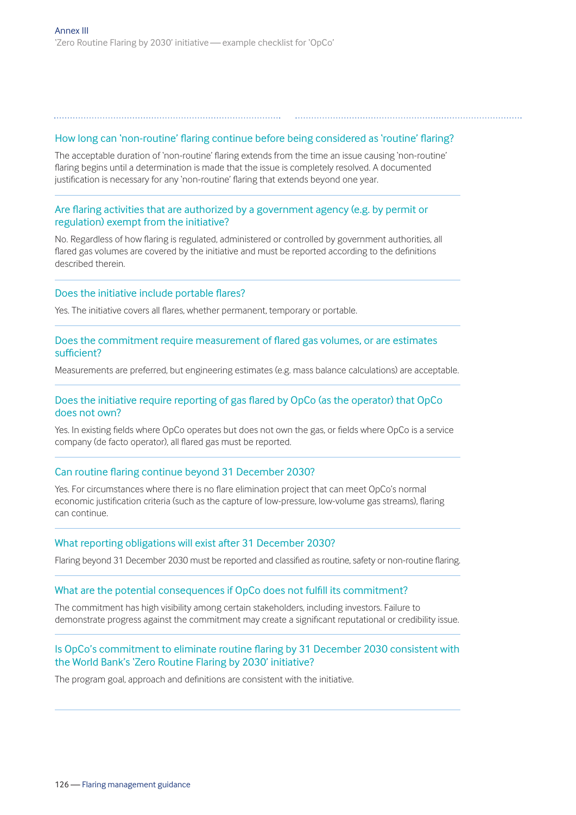#### How long can 'non-routine' flaring continue before being considered as 'routine' flaring?

The acceptable duration of 'non-routine' flaring extends from the time an issue causing 'non-routine' flaring begins until a determination is made that the issue is completely resolved. A documented justification is necessary for any 'non-routine' flaring that extends beyond one year.

#### Are flaring activities that are authorized by a government agency (e.g. by permit or regulation) exempt from the initiative?

No. Regardless of how flaring is regulated, administered or controlled by government authorities, all flared gas volumes are covered by the initiative and must be reported according to the definitions described therein.

#### Does the initiative include portable flares?

Yes. The initiative covers all flares, whether permanent, temporary or portable.

#### Does the commitment require measurement of flared gas volumes, or are estimates sufficient?

Measurements are preferred, but engineering estimates (e.g. mass balance calculations) are acceptable.

#### Does the initiative require reporting of gas flared by OpCo (as the operator) that OpCo does not own?

Yes. In existing fields where OpCo operates but does not own the gas, or fields where OpCo is a service company (de facto operator), all flared gas must be reported.

#### Can routine flaring continue beyond 31 December 2030?

Yes. For circumstances where there is no flare elimination project that can meet OpCo's normal economic justification criteria (such as the capture of low-pressure, low-volume gas streams), flaring can continue.

#### What reporting obligations will exist after 31 December 2030?

Flaring beyond 31 December 2030 must be reported and classified as routine, safety or non-routine flaring.

#### What are the potential consequences if OpCo does not fulfill its commitment?

The commitment has high visibility among certain stakeholders, including investors. Failure to demonstrate progress against the commitment may create a significant reputational or credibility issue.

#### Is OpCo's commitment to eliminate routine flaring by 31 December 2030 consistent with the World Bank's 'Zero Routine Flaring by 2030' initiative?

The program goal, approach and definitions are consistent with the initiative.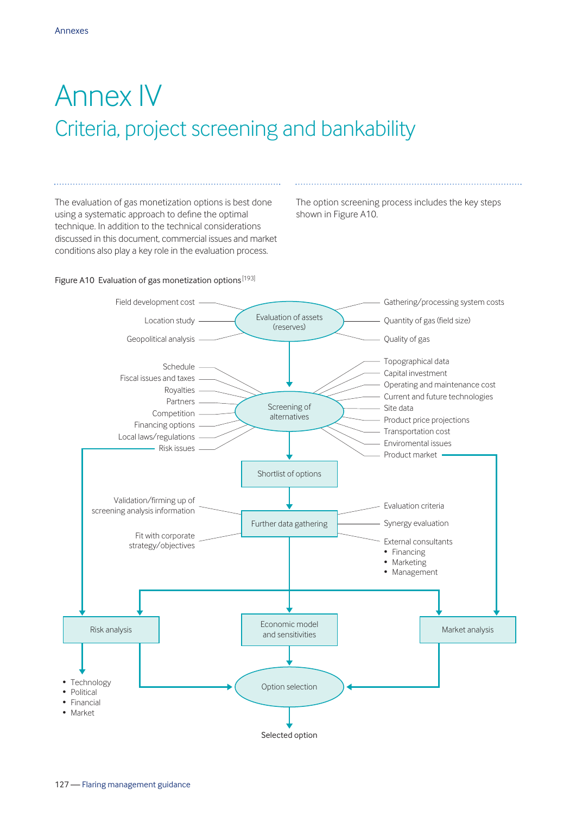# Annex IV Criteria, project screening and bankability

The evaluation of gas monetization options is best done using a systematic approach to define the optimal technique. In addition to the technical considerations discussed in this document, commercial issues and market conditions also play a key role in the evaluation process.

The option screening process includes the key steps shown in Figure A10.

#### Figure A10 Evaluation of gas monetization options<sup>[193]</sup>

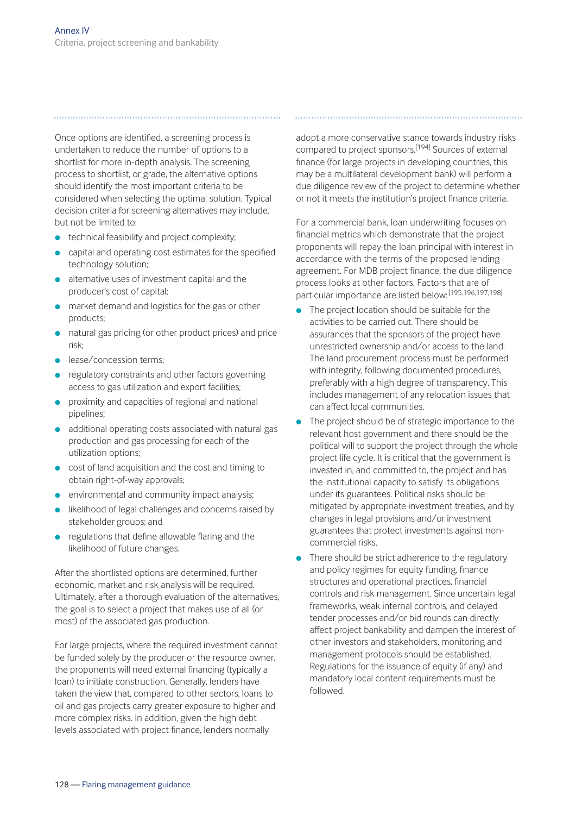Once options are identified, a screening process is undertaken to reduce the number of options to a shortlist for more in-depth analysis. The screening process to shortlist, or grade, the alternative options should identify the most important criteria to be considered when selecting the optimal solution. Typical decision criteria for screening alternatives may include, but not be limited to:

- $\bullet$  technical feasibility and project complexity;
- capital and operating cost estimates for the specified technology solution;
- $\bullet$  alternative uses of investment capital and the producer's cost of capital;
- $\bullet$  market demand and logistics for the gas or other products;
- **natural gas pricing (or other product prices) and price** risk;
- **e** lease/concession terms;
- regulatory constraints and other factors governing access to gas utilization and export facilities;
- <sup>l</sup> proximity and capacities of regional and national pipelines;
- additional operating costs associated with natural gas production and gas processing for each of the utilization options;
- **c** cost of land acquisition and the cost and timing to obtain right-of-way approvals;
- $\bullet$  environmental and community impact analysis;
- likelihood of legal challenges and concerns raised by stakeholder groups; and
- $\bullet$  regulations that define allowable flaring and the likelihood of future changes.

After the shortlisted options are determined, further economic, market and risk analysis will be required. Ultimately, after a thorough evaluation of the alternatives, the goal is to select a project that makes use of all (or most) of the associated gas production.

For large projects, where the required investment cannot be funded solely by the producer or the resource owner, the proponents will need external financing (typically a loan) to initiate construction. Generally, lenders have taken the view that, compared to other sectors, loans to oil and gas projects carry greater exposure to higher and more complex risks. In addition, given the high debt levels associated with project finance, lenders normally

adopt a more conservative stance towards industry risks compared to project sponsors.[194] Sources of external finance (for large projects in developing countries, this may be a multilateral development bank) will perform a due diligence review of the project to determine whether or not it meets the institution's project finance criteria.

For a commercial bank, loan underwriting focuses on financial metrics which demonstrate that the project proponents will repay the loan principal with interest in accordance with the terms of the proposed lending agreement. For MDB project finance, the due diligence process looks at other factors. Factors that are of particular importance are listed below: [195,196,197,198]

- $\bullet$  The project location should be suitable for the activities to be carried out. There should be assurances that the sponsors of the project have unrestricted ownership and/or access to the land. The land procurement process must be performed with integrity, following documented procedures, preferably with a high degree of transparency. This includes management of any relocation issues that can affect local communities.
- The project should be of strategic importance to the relevant host government and there should be the political will to support the project through the whole project life cycle. It is critical that the government is invested in, and committed to, the project and has the institutional capacity to satisfy its obligations under its guarantees. Political risks should be mitigated by appropriate investment treaties, and by changes in legal provisions and/or investment guarantees that protect investments against noncommercial risks.
- $\bullet$  There should be strict adherence to the regulatory and policy regimes for equity funding, finance structures and operational practices, financial controls and risk management. Since uncertain legal frameworks, weak internal controls, and delayed tender processes and/or bid rounds can directly affect project bankability and dampen the interest of other investors and stakeholders, monitoring and management protocols should be established. Regulations for the issuance of equity (if any) and mandatory local content requirements must be followed.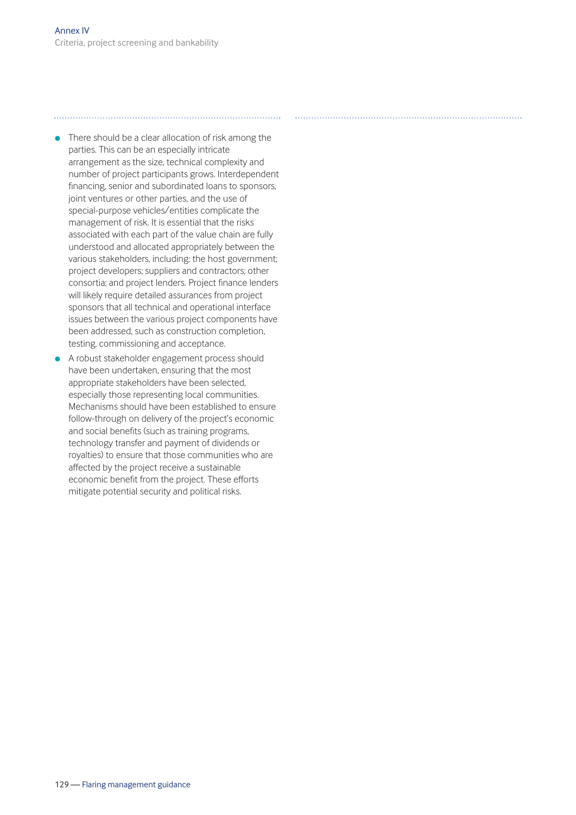$\bullet$  There should be a clear allocation of risk among the parties. This can be an especially intricate arrangement as the size, technical complexity and number of project participants grows. Interdependent financing, senior and subordinated loans to sponsors, joint ventures or other parties, and the use of special-purpose vehicles/entities complicate the management of risk. It is essential that the risks associated with each part of the value chain are fully understood and allocated appropriately between the various stakeholders, including: the host government; project developers; suppliers and contractors; other consortia; and project lenders. Project finance lenders will likely require detailed assurances from project sponsors that all technical and operational interface issues between the various project components have been addressed, such as construction completion, testing, commissioning and acceptance.

**•** A robust stakeholder engagement process should have been undertaken, ensuring that the most appropriate stakeholders have been selected, especially those representing local communities. Mechanisms should have been established to ensure follow-through on delivery of the project's economic and social benefits (such as training programs, technology transfer and payment of dividends or royalties) to ensure that those communities who are affected by the project receive a sustainable economic benefit from the project. These efforts mitigate potential security and political risks.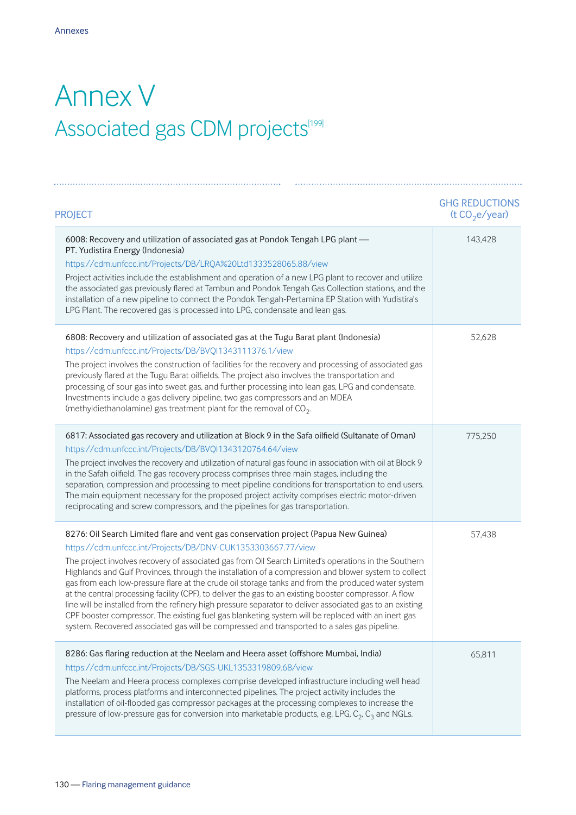## Annex V Associated gas CDM projects<sup>[199]</sup>

| <b>PROJECT</b>                                                                                                                                                                                                                                                                                                                                                                                                                                                                                                                                                                                                                                                                                                                                                                                                                                                                                         | <b>GHG REDUCTIONS</b><br>(t CO <sub>2</sub> e/year) |
|--------------------------------------------------------------------------------------------------------------------------------------------------------------------------------------------------------------------------------------------------------------------------------------------------------------------------------------------------------------------------------------------------------------------------------------------------------------------------------------------------------------------------------------------------------------------------------------------------------------------------------------------------------------------------------------------------------------------------------------------------------------------------------------------------------------------------------------------------------------------------------------------------------|-----------------------------------------------------|
| 6008: Recovery and utilization of associated gas at Pondok Tengah LPG plant -<br>PT. Yudistira Energy (Indonesia)<br>https://cdm.unfccc.int/Projects/DB/LRQA%20Ltd1333528065.88/view<br>Project activities include the establishment and operation of a new LPG plant to recover and utilize<br>the associated gas previously flared at Tambun and Pondok Tengah Gas Collection stations, and the<br>installation of a new pipeline to connect the Pondok Tengah-Pertamina EP Station with Yudistira's<br>LPG Plant. The recovered gas is processed into LPG, condensate and lean gas.                                                                                                                                                                                                                                                                                                                 | 143,428                                             |
| 6808: Recovery and utilization of associated gas at the Tugu Barat plant (Indonesia)<br>https://cdm.unfccc.int/Projects/DB/BVQI1343111376.1/view<br>The project involves the construction of facilities for the recovery and processing of associated gas<br>previously flared at the Tugu Barat oilfields. The project also involves the transportation and<br>processing of sour gas into sweet gas, and further processing into lean gas, LPG and condensate.<br>Investments include a gas delivery pipeline, two gas compressors and an MDEA<br>(methyldiethanolamine) gas treatment plant for the removal of $CO2$ .                                                                                                                                                                                                                                                                              | 52,628                                              |
| 6817: Associated gas recovery and utilization at Block 9 in the Safa oilfield (Sultanate of Oman)<br>https://cdm.unfccc.int/Projects/DB/BVQI1343120764.64/view<br>The project involves the recovery and utilization of natural gas found in association with oil at Block 9<br>in the Safah oilfield. The gas recovery process comprises three main stages, including the<br>separation, compression and processing to meet pipeline conditions for transportation to end users.<br>The main equipment necessary for the proposed project activity comprises electric motor-driven<br>reciprocating and screw compressors, and the pipelines for gas transportation.                                                                                                                                                                                                                                   | 775,250                                             |
| 8276: Oil Search Limited flare and vent gas conservation project (Papua New Guinea)<br>https://cdm.unfccc.int/Projects/DB/DNV-CUK1353303667.77/view<br>The project involves recovery of associated gas from Oil Search Limited's operations in the Southern<br>Highlands and Gulf Provinces, through the installation of a compression and blower system to collect<br>gas from each low-pressure flare at the crude oil storage tanks and from the produced water system<br>at the central processing facility (CPF), to deliver the gas to an existing booster compressor. A flow<br>line will be installed from the refinery high pressure separator to deliver associated gas to an existing<br>CPF booster compressor. The existing fuel gas blanketing system will be replaced with an inert gas<br>system. Recovered associated gas will be compressed and transported to a sales gas pipeline. | 57,438                                              |
| 8286: Gas flaring reduction at the Neelam and Heera asset (offshore Mumbai, India)<br>https://cdm.unfccc.int/Projects/DB/SGS-UKL1353319809.68/view<br>The Neelam and Heera process complexes comprise developed infrastructure including well head<br>platforms, process platforms and interconnected pipelines. The project activity includes the<br>installation of oil-flooded gas compressor packages at the processing complexes to increase the<br>pressure of low-pressure gas for conversion into marketable products, e.g. LPG, C <sub>2</sub> , C <sub>3</sub> and NGLs.                                                                                                                                                                                                                                                                                                                     | 65,811                                              |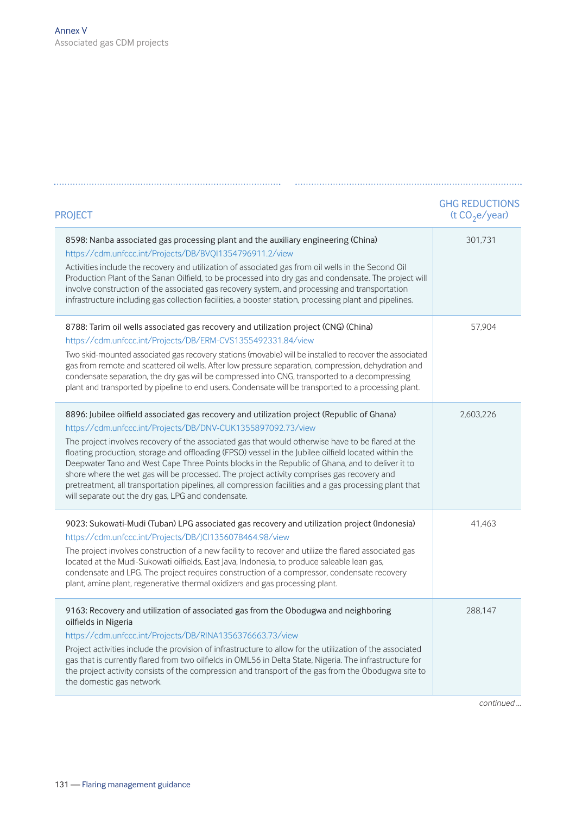| <b>PROJECT</b>                                                                                                                                                                                                                                                                                                                                                                                                                                                                                                                                                                                                                                                                                                                           | <b>GHG REDUCTIONS</b><br>(t $CO2e/year$ ) |
|------------------------------------------------------------------------------------------------------------------------------------------------------------------------------------------------------------------------------------------------------------------------------------------------------------------------------------------------------------------------------------------------------------------------------------------------------------------------------------------------------------------------------------------------------------------------------------------------------------------------------------------------------------------------------------------------------------------------------------------|-------------------------------------------|
| 8598: Nanba associated gas processing plant and the auxiliary engineering (China)<br>https://cdm.unfccc.int/Projects/DB/BVQI1354796911.2/view<br>Activities include the recovery and utilization of associated gas from oil wells in the Second Oil<br>Production Plant of the Sanan Oilfield, to be processed into dry gas and condensate. The project will<br>involve construction of the associated gas recovery system, and processing and transportation<br>infrastructure including gas collection facilities, a booster station, processing plant and pipelines.                                                                                                                                                                  | 301,731                                   |
| 8788: Tarim oil wells associated gas recovery and utilization project (CNG) (China)<br>https://cdm.unfccc.int/Projects/DB/ERM-CVS1355492331.84/view<br>Two skid-mounted associated gas recovery stations (movable) will be installed to recover the associated<br>gas from remote and scattered oil wells. After low pressure separation, compression, dehydration and<br>condensate separation, the dry gas will be compressed into CNG, transported to a decompressing<br>plant and transported by pipeline to end users. Condensate will be transported to a processing plant.                                                                                                                                                        | 57,904                                    |
| 8896: Jubilee oilfield associated gas recovery and utilization project (Republic of Ghana)<br>https://cdm.unfccc.int/Projects/DB/DNV-CUK1355897092.73/view<br>The project involves recovery of the associated gas that would otherwise have to be flared at the<br>floating production, storage and offloading (FPSO) vessel in the Jubilee oilfield located within the<br>Deepwater Tano and West Cape Three Points blocks in the Republic of Ghana, and to deliver it to<br>shore where the wet gas will be processed. The project activity comprises gas recovery and<br>pretreatment, all transportation pipelines, all compression facilities and a gas processing plant that<br>will separate out the dry gas, LPG and condensate. | 2,603,226                                 |
| 9023: Sukowati-Mudi (Tuban) LPG associated gas recovery and utilization project (Indonesia)<br>https://cdm.unfccc.int/Projects/DB/JCl1356078464.98/view<br>The project involves construction of a new facility to recover and utilize the flared associated gas<br>located at the Mudi-Sukowati oilfields, East Java, Indonesia, to produce saleable lean gas,<br>condensate and LPG. The project requires construction of a compressor, condensate recovery<br>plant, amine plant, regenerative thermal oxidizers and gas processing plant.                                                                                                                                                                                             | 41,463                                    |
| 9163: Recovery and utilization of associated gas from the Obodugwa and neighboring<br>oilfields in Nigeria<br>https://cdm.unfccc.int/Projects/DB/RINA1356376663.73/view<br>Project activities include the provision of infrastructure to allow for the utilization of the associated<br>gas that is currently flared from two oilfields in OML56 in Delta State, Nigeria. The infrastructure for<br>the project activity consists of the compression and transport of the gas from the Obodugwa site to<br>the domestic gas network.                                                                                                                                                                                                     | 288,147                                   |

*continued …*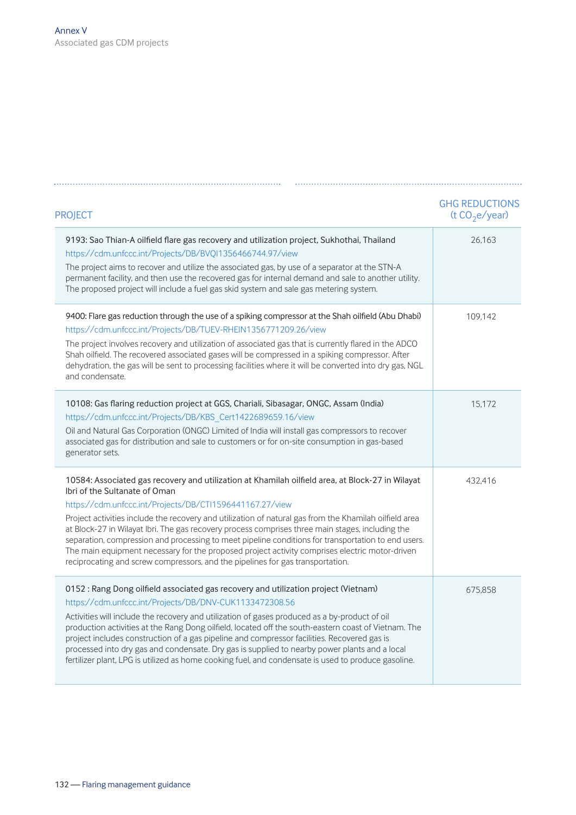| <b>PROJECT</b>                                                                                                                                                                                                                                                                                                                                                                                                                                                                                                                                                                                                                                                                                         | <b>GHG REDUCTIONS</b><br>(t $CO2e/year$ ) |
|--------------------------------------------------------------------------------------------------------------------------------------------------------------------------------------------------------------------------------------------------------------------------------------------------------------------------------------------------------------------------------------------------------------------------------------------------------------------------------------------------------------------------------------------------------------------------------------------------------------------------------------------------------------------------------------------------------|-------------------------------------------|
| 9193: Sao Thian-A oilfield flare gas recovery and utilization project, Sukhothai, Thailand<br>https://cdm.unfccc.int/Projects/DB/BVQI1356466744.97/view<br>The project aims to recover and utilize the associated gas, by use of a separator at the STN-A<br>permanent facility, and then use the recovered gas for internal demand and sale to another utility.<br>The proposed project will include a fuel gas skid system and sale gas metering system.                                                                                                                                                                                                                                             | 26.163                                    |
| 9400: Flare gas reduction through the use of a spiking compressor at the Shah oilfield (Abu Dhabi)<br>https://cdm.unfccc.int/Projects/DB/TUEV-RHEIN1356771209.26/view<br>The project involves recovery and utilization of associated gas that is currently flared in the ADCO<br>Shah oilfield. The recovered associated gases will be compressed in a spiking compressor. After<br>dehydration, the gas will be sent to processing facilities where it will be converted into dry gas, NGL<br>and condensate.                                                                                                                                                                                         | 109.142                                   |
| 10108: Gas flaring reduction project at GGS, Chariali, Sibasagar, ONGC, Assam (India)<br>https://cdm.unfccc.int/Projects/DB/KBS Cert1422689659.16/view<br>Oil and Natural Gas Corporation (ONGC) Limited of India will install gas compressors to recover<br>associated gas for distribution and sale to customers or for on-site consumption in gas-based<br>generator sets.                                                                                                                                                                                                                                                                                                                          | 15,172                                    |
| 10584: Associated gas recovery and utilization at Khamilah oilfield area, at Block-27 in Wilayat<br>Ibri of the Sultanate of Oman<br>https://cdm.unfccc.int/Projects/DB/CTI1596441167.27/view<br>Project activities include the recovery and utilization of natural gas from the Khamilah oilfield area<br>at Block-27 in Wilayat Ibri. The gas recovery process comprises three main stages, including the<br>separation, compression and processing to meet pipeline conditions for transportation to end users.<br>The main equipment necessary for the proposed project activity comprises electric motor-driven<br>reciprocating and screw compressors, and the pipelines for gas transportation. | 432,416                                   |
| 0152: Rang Dong oilfield associated gas recovery and utilization project (Vietnam)<br>https://cdm.unfccc.int/Projects/DB/DNV-CUK1133472308.56<br>Activities will include the recovery and utilization of gases produced as a by-product of oil<br>production activities at the Rang Dong oilfield, located off the south-eastern coast of Vietnam. The<br>project includes construction of a gas pipeline and compressor facilities. Recovered gas is<br>processed into dry gas and condensate. Dry gas is supplied to nearby power plants and a local<br>fertilizer plant, LPG is utilized as home cooking fuel, and condensate is used to produce gasoline.                                          | 675,858                                   |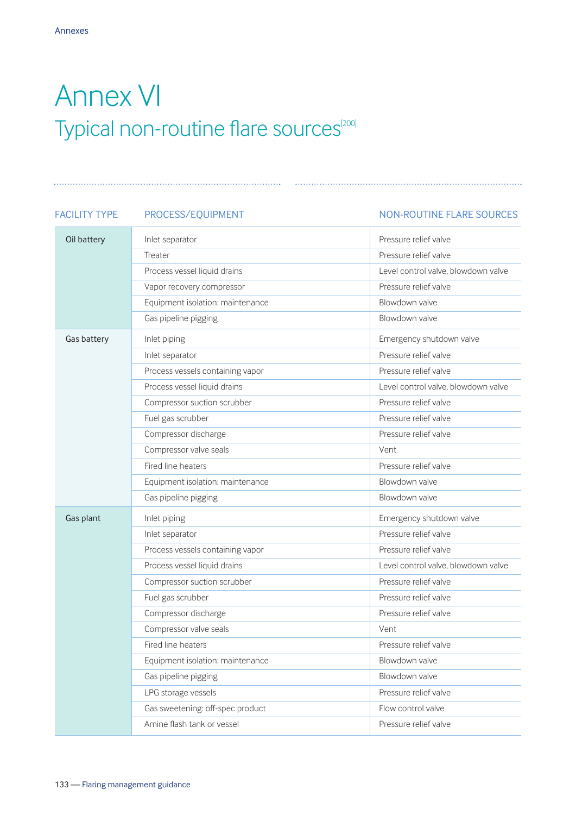# Annex VI Typical non-routine flare sources<sup>[200]</sup>

### FACILITY TYPE PROCESS/EQUIPMENT NON-ROUTINE FLARE SOURCES

| Oil battery | Inlet separator                  | Pressure relief valve               |
|-------------|----------------------------------|-------------------------------------|
|             | Treater                          | Pressure relief valve               |
|             | Process vessel liquid drains     | Level control valve, blowdown valve |
|             | Vapor recovery compressor        | Pressure relief valve               |
|             | Equipment isolation: maintenance | Blowdown valve                      |
|             | Gas pipeline pigging             | Blowdown valve                      |
| Gas battery | Inlet piping                     | Emergency shutdown valve            |
|             | Inlet separator                  | Pressure relief valve               |
|             | Process vessels containing vapor | Pressure relief valve               |
|             | Process vessel liquid drains     | Level control valve, blowdown valve |
|             | Compressor suction scrubber      | Pressure relief valve               |
|             | Fuel gas scrubber                | Pressure relief valve               |
|             | Compressor discharge             | Pressure relief valve               |
|             | Compressor valve seals           | Vent                                |
|             | Fired line heaters               | Pressure relief valve               |
|             | Equipment isolation: maintenance | Blowdown valve                      |
|             | Gas pipeline pigging             | Blowdown valve                      |
| Gas plant   | Inlet piping                     | Emergency shutdown valve            |
|             | Inlet separator                  | Pressure relief valve               |
|             | Process vessels containing vapor | Pressure relief valve               |
|             | Process vessel liquid drains     | Level control valve, blowdown valve |
|             | Compressor suction scrubber      | Pressure relief valve               |
|             | Fuel gas scrubber                | Pressure relief valve               |
|             | Compressor discharge             | Pressure relief valve               |
|             | Compressor valve seals           | Vent                                |
|             | Fired line heaters               | Pressure relief valve               |
|             | Equipment isolation: maintenance | Blowdown valve                      |
|             | Gas pipeline pigging             | Blowdown valve                      |
|             | LPG storage vessels              | Pressure relief valve               |
|             | Gas sweetening: off-spec product | Flow control valve                  |
|             | Amine flash tank or vessel       | Pressure relief valve               |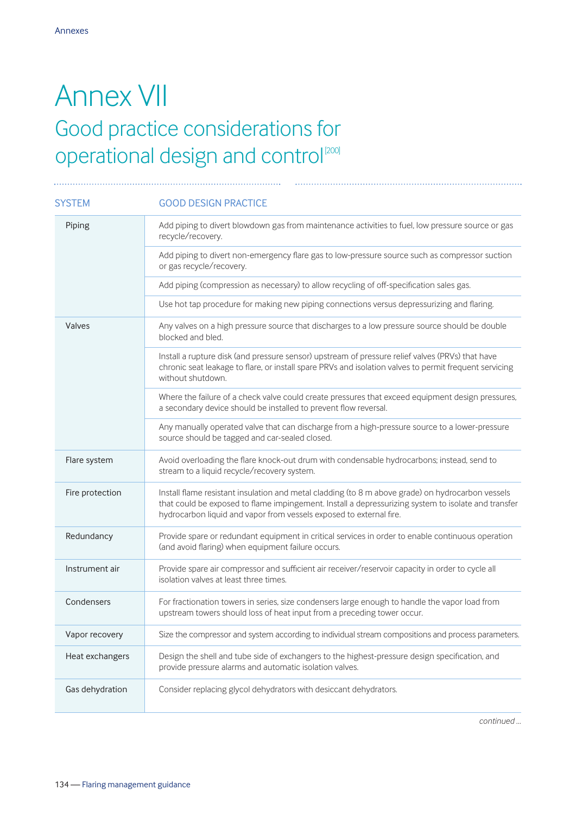### Annex VII Good practice considerations for operational design and control<sup>[200]</sup>

| <b>SYSTEM</b>   | <b>GOOD DESIGN PRACTICE</b>                                                                                                                                                                                                                                                     |
|-----------------|---------------------------------------------------------------------------------------------------------------------------------------------------------------------------------------------------------------------------------------------------------------------------------|
| Piping          | Add piping to divert blowdown gas from maintenance activities to fuel, low pressure source or gas<br>recycle/recovery.                                                                                                                                                          |
|                 | Add piping to divert non-emergency flare gas to low-pressure source such as compressor suction<br>or gas recycle/recovery.                                                                                                                                                      |
|                 | Add piping (compression as necessary) to allow recycling of off-specification sales gas.                                                                                                                                                                                        |
|                 | Use hot tap procedure for making new piping connections versus depressurizing and flaring.                                                                                                                                                                                      |
| Valves          | Any valves on a high pressure source that discharges to a low pressure source should be double<br>blocked and bled.                                                                                                                                                             |
|                 | Install a rupture disk (and pressure sensor) upstream of pressure relief valves (PRVs) that have<br>chronic seat leakage to flare, or install spare PRVs and isolation valves to permit frequent servicing<br>without shutdown.                                                 |
|                 | Where the failure of a check valve could create pressures that exceed equipment design pressures,<br>a secondary device should be installed to prevent flow reversal.                                                                                                           |
|                 | Any manually operated valve that can discharge from a high-pressure source to a lower-pressure<br>source should be tagged and car-sealed closed.                                                                                                                                |
| Flare system    | Avoid overloading the flare knock-out drum with condensable hydrocarbons; instead, send to<br>stream to a liquid recycle/recovery system.                                                                                                                                       |
| Fire protection | Install flame resistant insulation and metal cladding (to 8 m above grade) on hydrocarbon vessels<br>that could be exposed to flame impingement. Install a depressurizing system to isolate and transfer<br>hydrocarbon liquid and vapor from vessels exposed to external fire. |
| Redundancy      | Provide spare or redundant equipment in critical services in order to enable continuous operation<br>(and avoid flaring) when equipment failure occurs.                                                                                                                         |
| Instrument air  | Provide spare air compressor and sufficient air receiver/reservoir capacity in order to cycle all<br>isolation valves at least three times.                                                                                                                                     |
| Condensers      | For fractionation towers in series, size condensers large enough to handle the vapor load from<br>upstream towers should loss of heat input from a preceding tower occur.                                                                                                       |
| Vapor recovery  | Size the compressor and system according to individual stream compositions and process parameters.                                                                                                                                                                              |
| Heat exchangers | Design the shell and tube side of exchangers to the highest-pressure design specification, and<br>provide pressure alarms and automatic isolation valves.                                                                                                                       |
| Gas dehydration | Consider replacing glycol dehydrators with desiccant dehydrators.                                                                                                                                                                                                               |

*continued …*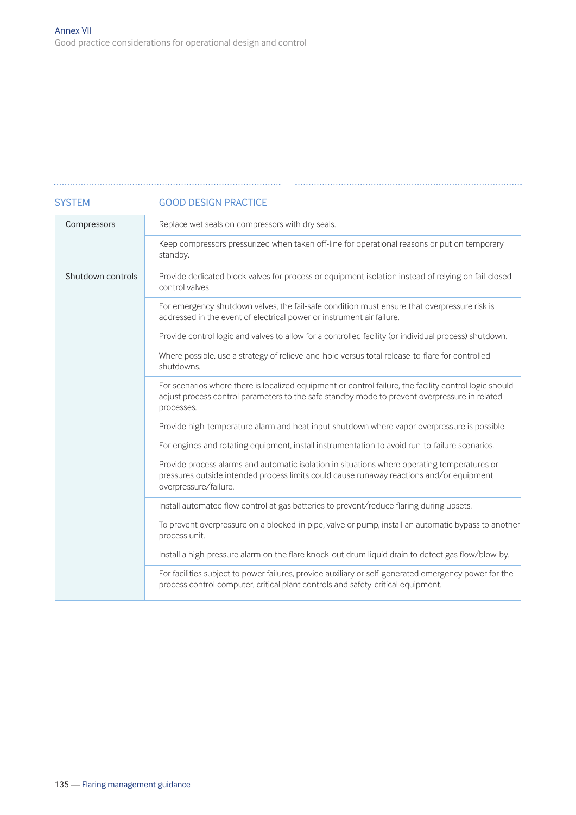### Replace wet seals on compressors with dry seals. Keep compressors pressurized when taken off-line for operational reasons or put on temporary standby. Provide dedicated block valves for process or equipment isolation instead of relying on fail-closed control valves. For emergency shutdown valves, the fail-safe condition must ensure that overpressure risk is addressed in the event of electrical power or instrument air failure. Provide control logic and valves to allow for a controlled facility (or individual process) shutdown. Where possible, use a strategy of relieve-and-hold versus total release-to-flare for controlled shutdowns. For scenarios where there is localized equipment or control failure, the facility control logic should adjust process control parameters to the safe standby mode to prevent overpressure in related processes. Provide high-temperature alarm and heat input shutdown where vapor overpressure is possible. For engines and rotating equipment, install instrumentation to avoid run-to-failure scenarios. Provide process alarms and automatic isolation in situations where operating temperatures or pressures outside intended process limits could cause runaway reactions and/or equipment overpressure/failure. Install automated flow control at gas batteries to prevent/reduce flaring during upsets. To prevent overpressure on a blocked-in pipe, valve or pump, install an automatic bypass to another process unit. Install a high-pressure alarm on the flare knock-out drum liquid drain to detect gas flow/blow-by. For facilities subject to power failures, provide auxiliary or self-generated emergency power for the process control computer, critical plant controls and safety-critical equipment. SYSTEM GOOD DESIGN PRACTICE Compressors Shutdown controls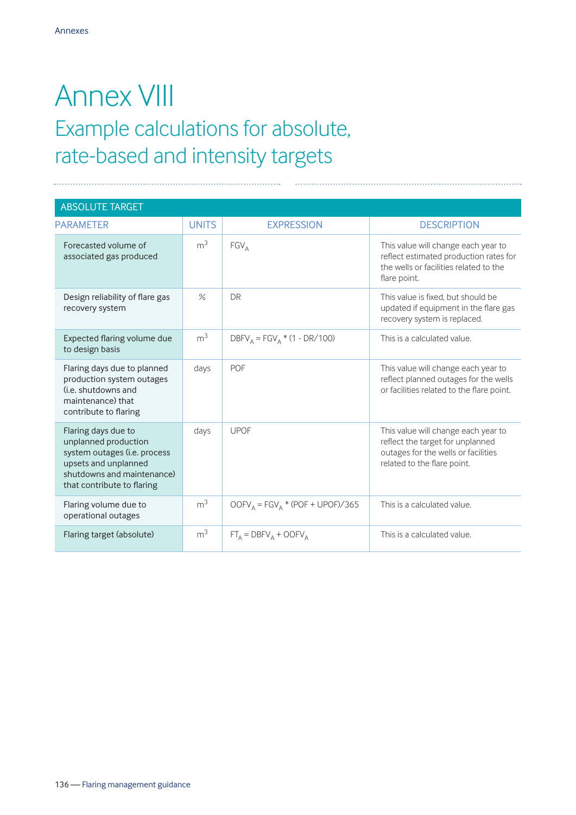### Annex VIII Example calculations for absolute, rate-based and intensity targets

| <b>ABSOLUTE TARGET</b>                                                                                                                                          |                |                                   |                                                                                                                                               |
|-----------------------------------------------------------------------------------------------------------------------------------------------------------------|----------------|-----------------------------------|-----------------------------------------------------------------------------------------------------------------------------------------------|
| <b>PARAMETER</b>                                                                                                                                                | <b>UNITS</b>   | <b>EXPRESSION</b>                 | <b>DESCRIPTION</b>                                                                                                                            |
| Forecasted volume of<br>associated gas produced                                                                                                                 | m <sup>3</sup> | $FGV_A$                           | This value will change each year to<br>reflect estimated production rates for<br>the wells or facilities related to the<br>flare point.       |
| Design reliability of flare gas<br>recovery system                                                                                                              | $\%$           | <b>DR</b>                         | This value is fixed, but should be<br>updated if equipment in the flare gas<br>recovery system is replaced.                                   |
| Expected flaring volume due<br>to design basis                                                                                                                  | m <sup>3</sup> | $DBFV_A = FGV_A * (1 - DR/100)$   | This is a calculated value.                                                                                                                   |
| Flaring days due to planned<br>production system outages<br>(i.e. shutdowns and<br>maintenance) that<br>contribute to flaring                                   | days           | POF                               | This value will change each year to<br>reflect planned outages for the wells<br>or facilities related to the flare point.                     |
| Flaring days due to<br>unplanned production<br>system outages (i.e. process<br>upsets and unplanned<br>shutdowns and maintenance)<br>that contribute to flaring | days           | <b>UPOF</b>                       | This value will change each year to<br>reflect the target for unplanned<br>outages for the wells or facilities<br>related to the flare point. |
| Flaring volume due to<br>operational outages                                                                                                                    | m <sup>3</sup> | $OOFVA = FGVA * (POF + UPOF)/365$ | This is a calculated value.                                                                                                                   |
| Flaring target (absolute)                                                                                                                                       | m <sup>3</sup> | $FT_A = DBFV_A + OOFV_A$          | This is a calculated value.                                                                                                                   |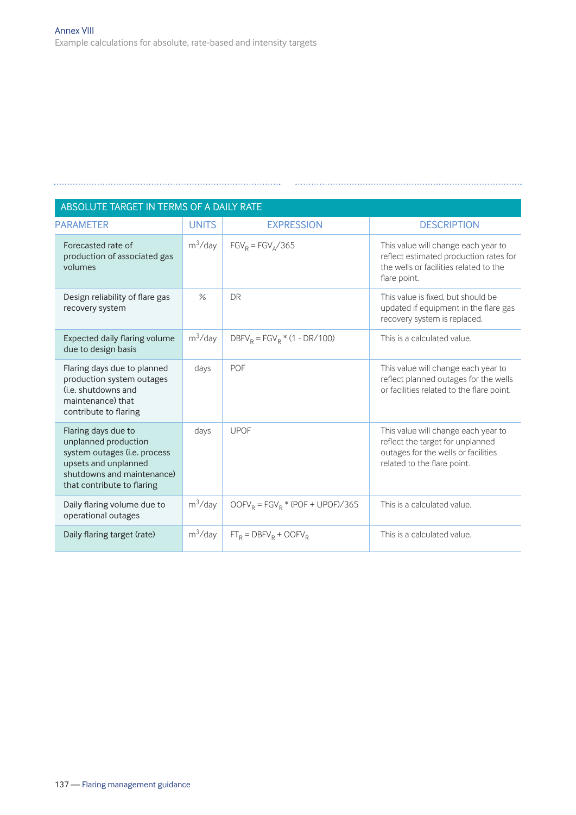| ABSOLUTE TARGET IN TERMS OF A DAILY RATE                                                                                                                        |              |                                     |                                                                                                                                               |  |
|-----------------------------------------------------------------------------------------------------------------------------------------------------------------|--------------|-------------------------------------|-----------------------------------------------------------------------------------------------------------------------------------------------|--|
| <b>PARAMETER</b>                                                                                                                                                | <b>UNITS</b> | <b>EXPRESSION</b>                   | <b>DESCRIPTION</b>                                                                                                                            |  |
| Forecasted rate of<br>production of associated gas<br>volumes                                                                                                   | $m^3$ /day   | $FGV_R = FGV_A/365$                 | This value will change each year to<br>reflect estimated production rates for<br>the wells or facilities related to the<br>flare point.       |  |
| Design reliability of flare gas<br>recovery system                                                                                                              | $\%$         | <b>DR</b>                           | This value is fixed, but should be<br>updated if equipment in the flare gas<br>recovery system is replaced.                                   |  |
| Expected daily flaring volume<br>due to design basis                                                                                                            | $m^3$ /day   | $DBFV_R = FGV_R * (1 - DR/100)$     | This is a calculated value.                                                                                                                   |  |
| Flaring days due to planned<br>production system outages<br>(i.e. shutdowns and<br>maintenance) that<br>contribute to flaring                                   | days         | POF                                 | This value will change each year to<br>reflect planned outages for the wells<br>or facilities related to the flare point.                     |  |
| Flaring days due to<br>unplanned production<br>system outages (i.e. process<br>upsets and unplanned<br>shutdowns and maintenance)<br>that contribute to flaring | days         | <b>UPOF</b>                         | This value will change each year to<br>reflect the target for unplanned<br>outages for the wells or facilities<br>related to the flare point. |  |
| Daily flaring volume due to<br>operational outages                                                                                                              | $m^3$ /day   | $OOFV_R = FGV_R * (POF + UPOF)/365$ | This is a calculated value.                                                                                                                   |  |
| Daily flaring target (rate)                                                                                                                                     | $m^3$ /day   | $FT_R = DBFV_R + OOFV_R$            | This is a calculated value.                                                                                                                   |  |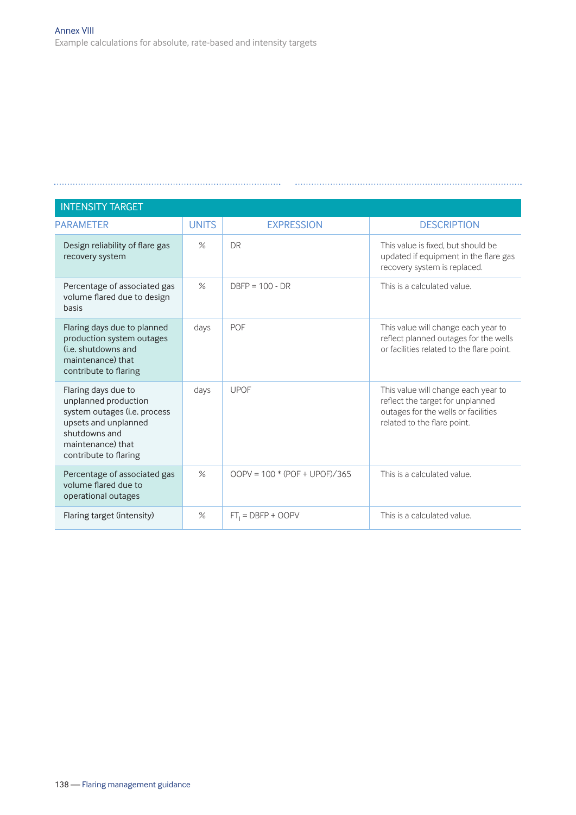| <b>INTENSITY TARGET</b>                                                                                                                                            |              |                                 |                                                                                                                                               |
|--------------------------------------------------------------------------------------------------------------------------------------------------------------------|--------------|---------------------------------|-----------------------------------------------------------------------------------------------------------------------------------------------|
| <b>PARAMETER</b>                                                                                                                                                   | <b>UNITS</b> | <b>EXPRESSION</b>               | <b>DESCRIPTION</b>                                                                                                                            |
| Design reliability of flare gas<br>recovery system                                                                                                                 | $\%$         | <b>DR</b>                       | This value is fixed, but should be<br>updated if equipment in the flare gas<br>recovery system is replaced.                                   |
| Percentage of associated gas<br>volume flared due to design<br>basis                                                                                               | $\%$         | $DBFP = 100 - DR$               | This is a calculated value.                                                                                                                   |
| Flaring days due to planned<br>production system outages<br>(i.e. shutdowns and<br>maintenance) that<br>contribute to flaring                                      | days         | <b>POF</b>                      | This value will change each year to<br>reflect planned outages for the wells<br>or facilities related to the flare point.                     |
| Flaring days due to<br>unplanned production<br>system outages (i.e. process<br>upsets and unplanned<br>shutdowns and<br>maintenance) that<br>contribute to flaring | days         | <b>UPOF</b>                     | This value will change each year to<br>reflect the target for unplanned<br>outages for the wells or facilities<br>related to the flare point. |
| Percentage of associated gas<br>volume flared due to<br>operational outages                                                                                        | $\%$         | $OOPV = 100 * (POF + UPOF)/365$ | This is a calculated value.                                                                                                                   |
| Flaring target (intensity)                                                                                                                                         | $\%$         | $FT1 = DBFP + OOPV$             | This is a calculated value.                                                                                                                   |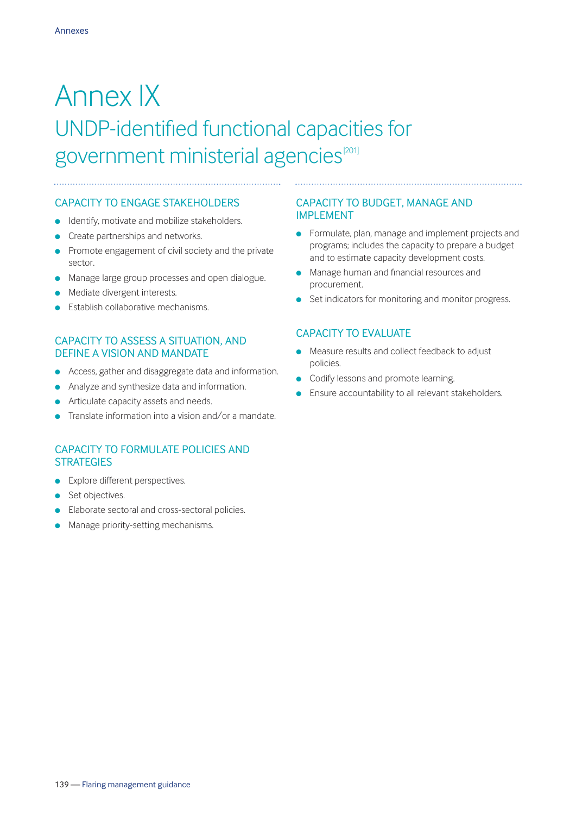### Annex IX UNDP-identified functional capacities for government ministerial agencies<sup>[201]</sup>

### CAPACITY TO ENGAGE STAKEHOLDERS

- $\bullet$  Identify, motivate and mobilize stakeholders.
- **c** Create partnerships and networks.
- $\bullet$  Promote engagement of civil society and the private sector.
- **I** Manage large group processes and open dialogue.
- Mediate divergent interests.
- **Establish collaborative mechanisms.**

#### CAPACITY TO ASSESS A SITUATION, AND DEFINE A VISION AND MANDATE

- **e** Access, gather and disaggregate data and information.
- **•** Analyze and synthesize data and information.
- Articulate capacity assets and needs.
- Translate information into a vision and/or a mandate.

### CAPACITY TO FORMULATE POLICIES AND **STRATEGIES**

- $\bullet$  Explore different perspectives.
- **.** Set objectives.
- Elaborate sectoral and cross-sectoral policies.
- Manage priority-setting mechanisms.

#### CAPACITY TO BUDGET, MANAGE AND IMPLEMENT

**.** Formulate, plan, manage and implement projects and programs; includes the capacity to prepare a budget and to estimate capacity development costs.

- **In Manage human and financial resources and** procurement.
- **e** Set indicators for monitoring and monitor progress.

#### CAPACITY TO EVALUATE

- **.** Measure results and collect feedback to adjust policies.
- **c** Codify lessons and promote learning.
- Ensure accountability to all relevant stakeholders.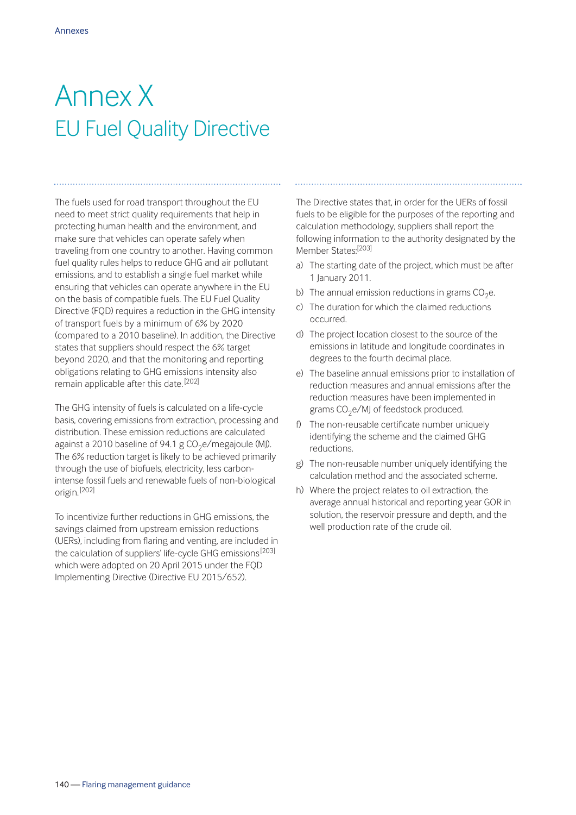# Annex X EU Fuel Quality Directive

The fuels used for road transport throughout the EU need to meet strict quality requirements that help in protecting human health and the environment, and make sure that vehicles can operate safely when traveling from one country to another. Having common fuel quality rules helps to reduce GHG and air pollutant emissions, and to establish a single fuel market while ensuring that vehicles can operate anywhere in the EU on the basis of compatible fuels. The EU Fuel Quality Directive (FQD) requires a reduction in the GHG intensity of transport fuels by a minimum of 6% by 2020 (compared to a 2010 baseline). In addition, the Directive states that suppliers should respect the 6% target beyond 2020, and that the monitoring and reporting obligations relating to GHG emissions intensity also remain applicable after this date. [202]

The GHG intensity of fuels is calculated on a life-cycle basis, covering emissions from extraction, processing and distribution. These emission reductions are calculated against a 2010 baseline of 94.1 g  $CO<sub>2</sub>e/m$ egajoule (MJ). The 6% reduction target is likely to be achieved primarily through the use of biofuels, electricity, less carbonintense fossil fuels and renewable fuels of non-biological origin. [202]

To incentivize further reductions in GHG emissions, the savings claimed from upstream emission reductions (UERs), including from flaring and venting, are included in the calculation of suppliers' life-cycle GHG emissions<sup>[203]</sup> which were adopted on 20 April 2015 under the FQD Implementing Directive (Directive EU 2015/652).

The Directive states that, in order for the UERs of fossil fuels to be eligible for the purposes of the reporting and calculation methodology, suppliers shall report the following information to the authority designated by the Member States:<sup>[203]</sup>

- a) The starting date of the project, which must be after 1 January 2011.
- b) The annual emission reductions in grams  $CO<sub>2</sub>e$ .
- c) The duration for which the claimed reductions occurred.
- d) The project location closest to the source of the emissions in latitude and longitude coordinates in degrees to the fourth decimal place.
- e) The baseline annual emissions prior to installation of reduction measures and annual emissions after the reduction measures have been implemented in grams  $CO<sub>2</sub>e/MJ$  of feedstock produced.
- f) The non-reusable certificate number uniquely identifying the scheme and the claimed GHG reductions.
- g) The non-reusable number uniquely identifying the calculation method and the associated scheme.
- h) Where the project relates to oil extraction, the average annual historical and reporting year GOR in solution, the reservoir pressure and depth, and the well production rate of the crude oil.